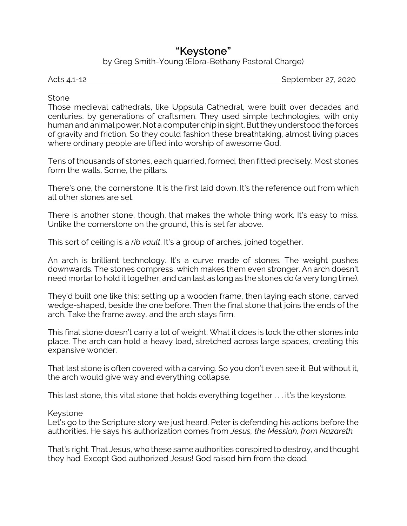# **"Keystone"**

by Greg Smith-Young (Elora-Bethany Pastoral Charge)

Acts 4.1-12 September 27, 2020

## Stone

Those medieval cathedrals, like Uppsula Cathedral, were built over decades and centuries, by generations of craftsmen. They used simple technologies, with only human and animal power. Not a computer chip in sight. But they understood the forces of gravity and friction. So they could fashion these breathtaking, almost living places where ordinary people are lifted into worship of awesome God.

Tens of thousands of stones, each quarried, formed, then fitted precisely. Most stones form the walls. Some, the pillars.

There's one, the cornerstone. It is the first laid down. It's the reference out from which all other stones are set.

There is another stone, though, that makes the whole thing work. It's easy to miss. Unlike the cornerstone on the ground, this is set far above.

This sort of ceiling is a *rib vault*. It's a group of arches, joined together.

An arch is brilliant technology. It's a curve made of stones. The weight pushes downwards. The stones compress, which makes them even stronger. An arch doesn't need mortar to hold it together, and can last as long as the stones do (a very long time).

They'd built one like this: setting up a wooden frame, then laying each stone, carved wedge-shaped, beside the one before. Then the final stone that joins the ends of the arch. Take the frame away, and the arch stays firm.

This final stone doesn't carry a lot of weight. What it does is lock the other stones into place. The arch can hold a heavy load, stretched across large spaces, creating this expansive wonder.

That last stone is often covered with a carving. So you don't even see it. But without it, the arch would give way and everything collapse.

This last stone, this vital stone that holds everything together . . . it's the keystone.

## Keystone

Let's go to the Scripture story we just heard. Peter is defending his actions before the authorities. He says his authorization comes from *Jesus, the Messiah, from Nazareth.*

That's right. That Jesus, who these same authorities conspired to destroy, and thought they had. Except God authorized Jesus! God raised him from the dead.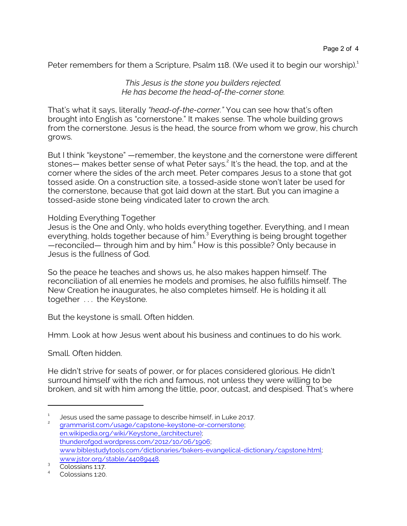Peter remembers for them a Scripture, Psalm 118. (We used it to begin our worship). $^1$ 

#### *This Jesus is the stone you builders rejected. He has become the head-of-the-corner stone.*

That's what it says, literally *"head-of-the-corner."* You can see how that's often brought into English as "cornerstone." It makes sense. The whole building grows from the cornerstone. Jesus is the head, the source from whom we grow, his church grows.

But I think "keystone" —remember, the keystone and the cornerstone were different stones— makes better sense of what Peter says. 2 It's the head, the top, and at the corner where the sides of the arch meet. Peter compares Jesus to a stone that got tossed aside. On a construction site, a tossed-aside stone won't later be used for the cornerstone, because that got laid down at the start. But you can imagine a tossed-aside stone being vindicated later to crown the arch.

#### Holding Everything Together

Jesus is the One and Only, who holds everything together. Everything, and I mean everything, holds together because of him.<sup>3</sup> Everything is being brought together —reconciled— through him and by him.<sup>4</sup> How is this possible? Only because in Jesus is the fullness of God.

So the peace he teaches and shows us, he also makes happen himself. The reconciliation of all enemies he models and promises, he also fulfills himself. The New Creation he inaugurates, he also completes himself. He is holding it all together . . . the Keystone.

But the keystone is small. Often hidden.

Hmm. Look at how Jesus went about his business and continues to do his work.

Small. Often hidden.

He didn't strive for seats of power, or for places considered glorious. He didn't surround himself with the rich and famous, not unless they were willing to be broken, and sit with him among the little, poor, outcast, and despised. That's where

<sup>1</sup> Jesus used the same passage to describe himself, in Luke 20:17.

<sup>2</sup> [grammarist.com/usage/capstone-keystone-or-cornerstone](https://grammarist.com/usage/capstone-keystone-or-cornerstone/); [en.wikipedia.org/wiki/Keystone\\_\(architecture\)](https://en.wikipedia.org/wiki/Keystone_(architecture)); [thunderofgod.wordpress.com/2012/10/06/1906](https://thunderofgod.wordpress.com/2012/10/06/1906/); [www.biblestudytools.com/dictionaries/bakers-evangelical-dictionary/capstone.html](https://www.biblestudytools.com/dictionaries/bakers-evangelical-dictionary/capstone.html); [www.jstor.org/stable/44089448](https://www.jstor.org/stable/44089448).

<sup>&</sup>lt;sup>3</sup> Colossians 1:17.

<sup>4</sup> Colossians 1:20.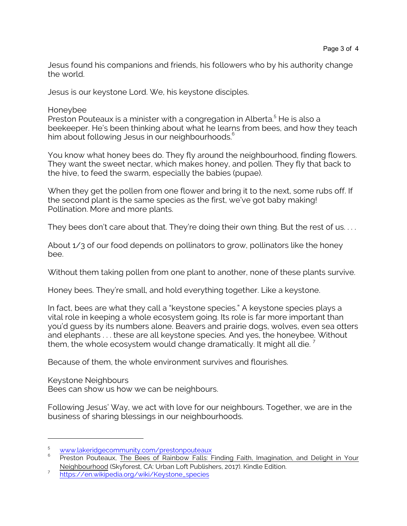Jesus found his companions and friends, his followers who by his authority change the world.

Jesus is our keystone Lord. We, his keystone disciples.

Honeybee

Preston Pouteaux is a minister with a congregation in Alberta.<sup>5</sup> He is also a beekeeper. He's been thinking about what he learns from bees, and how they teach him about following Jesus in our neighbourhoods.<sup>6</sup>

You know what honey bees do. They fly around the neighbourhood, finding flowers. They want the sweet nectar, which makes honey, and pollen. They fly that back to the hive, to feed the swarm, especially the babies (pupae).

When they get the pollen from one flower and bring it to the next, some rubs off. If the second plant is the same species as the first, we've got baby making! Pollination. More and more plants.

They bees don't care about that. They're doing their own thing. But the rest of us....

About 1/3 of our food depends on pollinators to grow, pollinators like the honey bee.

Without them taking pollen from one plant to another, none of these plants survive.

Honey bees. They're small, and hold everything together. Like a keystone.

In fact, bees are what they call a "keystone species." A keystone species plays a vital role in keeping a whole ecosystem going. Its role is far more important than you'd guess by its numbers alone. Beavers and prairie dogs, wolves, even sea otters and elephants . . . these are all keystone species. And yes, the honeybee. Without them, the whole ecosystem would change dramatically. It might all die.<sup>7</sup>

Because of them, the whole environment survives and flourishes.

Keystone Neighbours Bees can show us how we can be neighbours.

Following Jesus' Way, we act with love for our neighbours. Together, we are in the business of sharing blessings in our neighbourhoods.

<sup>5</sup> [www.lakeridgecommunity.com/prestonpouteaux](https://www.lakeridgecommunity.com/prestonpouteaux)

<sup>6</sup> Preston Pouteaux, The Bees of Rainbow Falls: Finding Faith, Imagination, and Delight in Your Neighbourhood (Skyforest, CA: Urban Loft Publishers, 2017). Kindle Edition.

<sup>7</sup> [https://en.wikipedia.org/wiki/Keystone\\_species](https://en.wikipedia.org/wiki/Keystone_species)